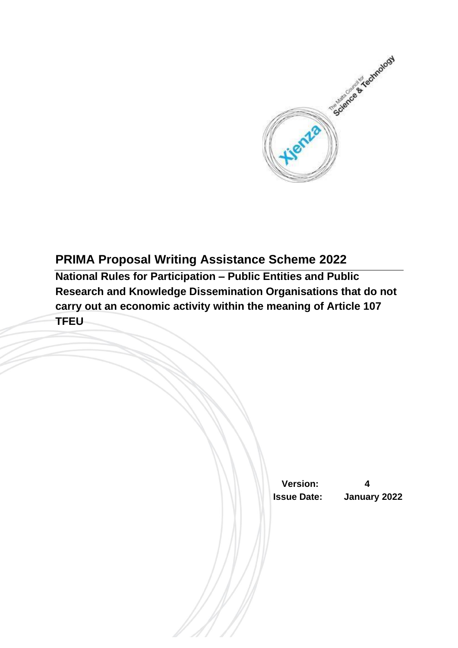

# **PRIMA Proposal Writing Assistance Scheme 2022**

**National Rules for Participation – Public Entities and Public Research and Knowledge Dissemination Organisations that do not carry out an economic activity within the meaning of Article 107 TFEU**

> **Version: 4 Issue Date: January 2022**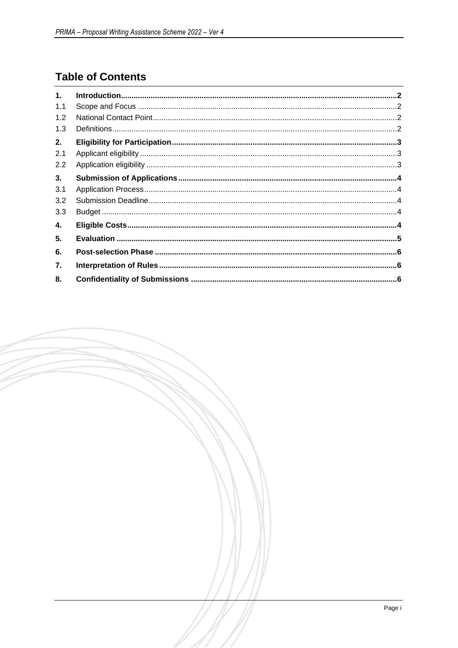# **Table of Contents**

| 1.  |  |
|-----|--|
| 1.1 |  |
| 1.2 |  |
| 1.3 |  |
| 2.  |  |
| 2.1 |  |
| 2.2 |  |
| 3.  |  |
| 3.1 |  |
| 3.2 |  |
| 3.3 |  |
| 4.  |  |
| 5.  |  |
| 6.  |  |
| 7.  |  |
| 8.  |  |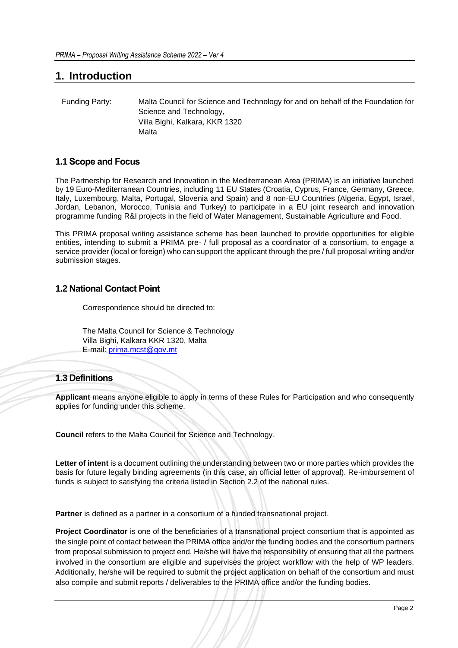### <span id="page-2-0"></span>**1. Introduction**

| Funding Party: | Malta Council for Science and Technology for and on behalf of the Foundation for |
|----------------|----------------------------------------------------------------------------------|
|                | Science and Technology,                                                          |
|                | Villa Bighi, Kalkara, KKR 1320                                                   |
|                | Malta                                                                            |

#### <span id="page-2-1"></span>**1.1 Scope and Focus**

The Partnership for Research and Innovation in the Mediterranean Area (PRIMA) is an initiative launched by 19 Euro-Mediterranean Countries, including 11 EU States (Croatia, Cyprus, France, Germany, Greece, Italy, Luxembourg, Malta, Portugal, Slovenia and Spain) and 8 non-EU Countries (Algeria, Egypt, Israel, Jordan, Lebanon, Morocco, Tunisia and Turkey) to participate in a EU joint research and innovation programme funding R&I projects in the field of Water Management, Sustainable Agriculture and Food.

This PRIMA proposal writing assistance scheme has been launched to provide opportunities for eligible entities, intending to submit a PRIMA pre- / full proposal as a coordinator of a consortium, to engage a service provider (local or foreign) who can support the applicant through the pre / full proposal writing and/or submission stages.

#### <span id="page-2-2"></span>**1.2 National Contact Point**

Correspondence should be directed to:

The Malta Council for Science & Technology Villa Bighi, Kalkara KKR 1320, Malta E-mail: [prima.mcst@gov.mt](mailto:prima.mcst@gov.mt)

#### <span id="page-2-3"></span>**1.3 Definitions**

**Applicant** means anyone eligible to apply in terms of these Rules for Participation and who consequently applies for funding under this scheme.

**Council** refers to the Malta Council for Science and Technology.

**Letter of intent** is a document outlining the understanding between two or more parties which provides the basis for future legally binding agreements (in this case, an official letter of approval). Re-imbursement of funds is subject to satisfying the criteria listed in Section 2.2 of the national rules.

**Partner** is defined as a partner in a consortium of a funded transnational project.

**Project Coordinator** is one of the beneficiaries of a transnational project consortium that is appointed as the single point of contact between the PRIMA office and/or the funding bodies and the consortium partners from proposal submission to project end. He/she will have the responsibility of ensuring that all the partners involved in the consortium are eligible and supervises the project workflow with the help of WP leaders. Additionally, he/she will be required to submit the project application on behalf of the consortium and must also compile and submit reports / deliverables to the PRIMA office and/or the funding bodies.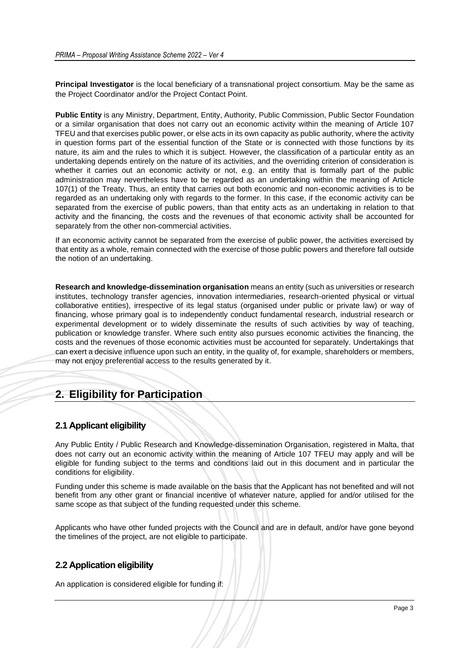**Principal Investigator** is the local beneficiary of a transnational project consortium. May be the same as the Project Coordinator and/or the Project Contact Point.

**Public Entity** is any Ministry, Department, Entity, Authority, Public Commission, Public Sector Foundation or a similar organisation that does not carry out an economic activity within the meaning of Article 107 TFEU and that exercises public power, or else acts in its own capacity as public authority, where the activity in question forms part of the essential function of the State or is connected with those functions by its nature, its aim and the rules to which it is subject. However, the classification of a particular entity as an undertaking depends entirely on the nature of its activities, and the overriding criterion of consideration is whether it carries out an economic activity or not, e.g. an entity that is formally part of the public administration may nevertheless have to be regarded as an undertaking within the meaning of Article 107(1) of the Treaty. Thus, an entity that carries out both economic and non-economic activities is to be regarded as an undertaking only with regards to the former. In this case, if the economic activity can be separated from the exercise of public powers, than that entity acts as an undertaking in relation to that activity and the financing, the costs and the revenues of that economic activity shall be accounted for separately from the other non-commercial activities.

If an economic activity cannot be separated from the exercise of public power, the activities exercised by that entity as a whole, remain connected with the exercise of those public powers and therefore fall outside the notion of an undertaking.

**Research and knowledge-dissemination organisation** means an entity (such as universities or research institutes, technology transfer agencies, innovation intermediaries, research-oriented physical or virtual collaborative entities), irrespective of its legal status (organised under public or private law) or way of financing, whose primary goal is to independently conduct fundamental research, industrial research or experimental development or to widely disseminate the results of such activities by way of teaching, publication or knowledge transfer. Where such entity also pursues economic activities the financing, the costs and the revenues of those economic activities must be accounted for separately. Undertakings that can exert a decisive influence upon such an entity, in the quality of, for example, shareholders or members, may not enjoy preferential access to the results generated by it.

## <span id="page-3-0"></span>**2. Eligibility for Participation**

### <span id="page-3-1"></span>**2.1 Applicant eligibility**

Any Public Entity / Public Research and Knowledge-dissemination Organisation, registered in Malta, that does not carry out an economic activity within the meaning of Article 107 TFEU may apply and will be eligible for funding subject to the terms and conditions laid out in this document and in particular the conditions for eligibility.

Funding under this scheme is made available on the basis that the Applicant has not benefited and will not benefit from any other grant or financial incentive of whatever nature, applied for and/or utilised for the same scope as that subject of the funding requested under this scheme.

Applicants who have other funded projects with the Council and are in default, and/or have gone beyond the timelines of the project, are not eligible to participate.

### <span id="page-3-2"></span>**2.2 Application eligibility**

An application is considered eligible for funding if: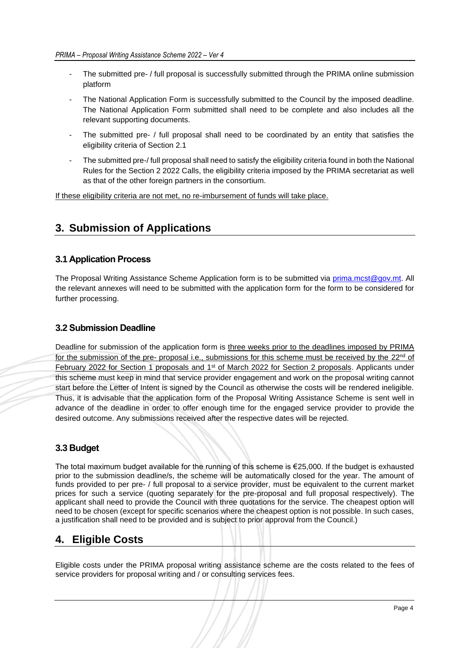- The submitted pre- / full proposal is successfully submitted through the PRIMA online submission platform
- The National Application Form is successfully submitted to the Council by the imposed deadline. The National Application Form submitted shall need to be complete and also includes all the relevant supporting documents.
- The submitted pre- / full proposal shall need to be coordinated by an entity that satisfies the eligibility criteria of Section 2.1
- The submitted pre-/ full proposal shall need to satisfy the eligibility criteria found in both the National Rules for the Section 2 2022 Calls, the eligibility criteria imposed by the PRIMA secretariat as well as that of the other foreign partners in the consortium.

If these eligibility criteria are not met, no re-imbursement of funds will take place.

### <span id="page-4-0"></span>**3. Submission of Applications**

#### <span id="page-4-1"></span>**3.1 Application Process**

The Proposal Writing Assistance Scheme Application form is to be submitted via [prima.mcst@gov.mt.](mailto:prima.mcst@gov.mt) All the relevant annexes will need to be submitted with the application form for the form to be considered for further processing.

#### <span id="page-4-2"></span>**3.2 Submission Deadline**

Deadline for submission of the application form is three weeks prior to the deadlines imposed by PRIMA for the submission of the pre- proposal i.e., submissions for this scheme must be received by the 22<sup>nd</sup> of February 2022 for Section 1 proposals and 1st of March 2022 for Section 2 proposals. Applicants under this scheme must keep in mind that service provider engagement and work on the proposal writing cannot start before the Letter of Intent is signed by the Council as otherwise the costs will be rendered ineligible. Thus, it is advisable that the application form of the Proposal Writing Assistance Scheme is sent well in advance of the deadline in order to offer enough time for the engaged service provider to provide the desired outcome. Any submissions received after the respective dates will be rejected.

### <span id="page-4-3"></span>**3.3 Budget**

The total maximum budget available for the running of this scheme is €25,000. If the budget is exhausted prior to the submission deadline/s, the scheme will be automatically closed for the year. The amount of funds provided to per pre- / full proposal to a service provider, must be equivalent to the current market prices for such a service (quoting separately for the pre-proposal and full proposal respectively). The applicant shall need to provide the Council with three quotations for the service. The cheapest option will need to be chosen (except for specific scenarios where the cheapest option is not possible. In such cases, a justification shall need to be provided and is subject to prior approval from the Council.)

### <span id="page-4-4"></span>**4. Eligible Costs**

Eligible costs under the PRIMA proposal writing assistance scheme are the costs related to the fees of service providers for proposal writing and / or consulting services fees.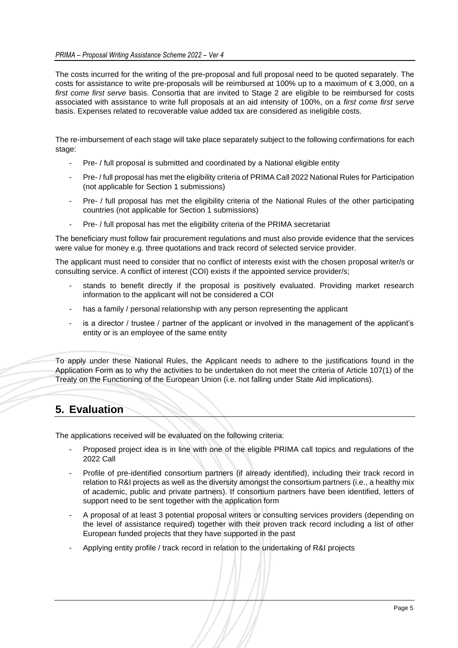The costs incurred for the writing of the pre-proposal and full proposal need to be quoted separately. The costs for assistance to write pre-proposals will be reimbursed at 100% up to a maximum of € 3,000, on a *first come first serve* basis. Consortia that are invited to Stage 2 are eligible to be reimbursed for costs associated with assistance to write full proposals at an aid intensity of 100%, on a *first come first serve* basis. Expenses related to recoverable value added tax are considered as ineligible costs.

The re-imbursement of each stage will take place separately subject to the following confirmations for each stage:

- Pre- / full proposal is submitted and coordinated by a National eligible entity
- Pre- / full proposal has met the eligibility criteria of PRIMA Call 2022 National Rules for Participation (not applicable for Section 1 submissions)
- Pre- / full proposal has met the eligibility criteria of the National Rules of the other participating countries (not applicable for Section 1 submissions)
- Pre- / full proposal has met the eligibility criteria of the PRIMA secretariat

The beneficiary must follow fair procurement regulations and must also provide evidence that the services were value for money e.g. three quotations and track record of selected service provider.

The applicant must need to consider that no conflict of interests exist with the chosen proposal writer/s or consulting service. A conflict of interest (COI) exists if the appointed service provider/s;

- stands to benefit directly if the proposal is positively evaluated. Providing market research information to the applicant will not be considered a COI
- has a family / personal relationship with any person representing the applicant
- is a director / trustee / partner of the applicant or involved in the management of the applicant's entity or is an employee of the same entity

To apply under these National Rules, the Applicant needs to adhere to the justifications found in the Application Form as to why the activities to be undertaken do not meet the criteria of Article 107(1) of the Treaty on the Functioning of the European Union (i.e. not falling under State Aid implications).

## <span id="page-5-0"></span>**5. Evaluation**

The applications received will be evaluated on the following criteria:

- Proposed project idea is in line with one of the eligible PRIMA call topics and regulations of the 2022 Call
- Profile of pre-identified consortium partners (if already identified), including their track record in relation to R&I projects as well as the diversity amongst the consortium partners (i.e., a healthy mix of academic, public and private partners). If consortium partners have been identified, letters of support need to be sent together with the application form
- A proposal of at least 3 potential proposal writers or consulting services providers (depending on the level of assistance required) together with their proven track record including a list of other European funded projects that they have supported in the past
- Applying entity profile / track record in relation to the undertaking of R&I projects